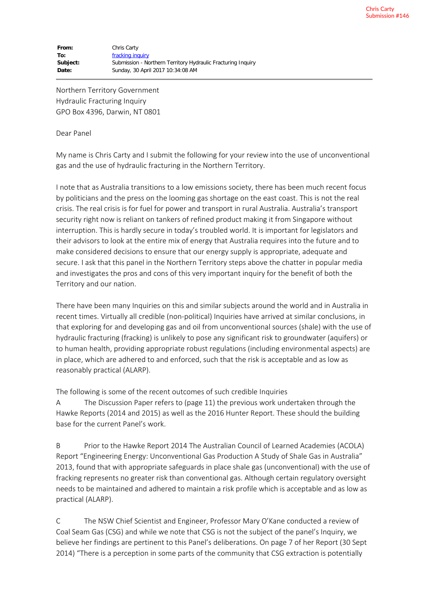Northern Territory Government Hydraulic Fracturing Inquiry GPO Box 4396, Darwin, NT 0801

## Dear Panel

My name is Chris Carty and I submit the following for your review into the use of unconventional gas and the use of hydraulic fracturing in the Northern Territory.

I note that as Australia transitions to a low emissions society, there has been much recent focus by politicians and the press on the looming gas shortage on the east coast. This is not the real crisis. The real crisis is for fuel for power and transport in rural Australia. Australia's transport security right now is reliant on tankers of refined product making it from Singapore without interruption. This is hardly secure in today's troubled world. It is important for legislators and their advisors to look at the entire mix of energy that Australia requires into the future and to make considered decisions to ensure that our energy supply is appropriate, adequate and secure. I ask that this panel in the Northern Territory steps above the chatter in popular media and investigates the pros and cons of this very important inquiry for the benefit of both the Territory and our nation.

There have been many Inquiries on this and similar subjects around the world and in Australia in recent times. Virtually all credible (non-political) Inquiries have arrived at similar conclusions, in that exploring for and developing gas and oil from unconventional sources (shale) with the use of hydraulic fracturing (fracking) is unlikely to pose any significant risk to groundwater (aquifers) or to human health, providing appropriate robust regulations (including environmental aspects) are in place, which are adhered to and enforced, such that the risk is acceptable and as low as reasonably practical (ALARP).

The following is some of the recent outcomes of such credible Inquiries

A The Discussion Paper refers to (page 11) the previous work undertaken through the Hawke Reports (2014 and 2015) as well as the 2016 Hunter Report. These should the building base for the current Panel's work.

B Prior to the Hawke Report 2014 The Australian Council of Learned Academies (ACOLA) Report "Engineering Energy: Unconventional Gas Production A Study of Shale Gas in Australia" 2013, found that with appropriate safeguards in place shale gas (unconventional) with the use of fracking represents no greater risk than conventional gas. Although certain regulatory oversight needs to be maintained and adhered to maintain a risk profile which is acceptable and as low as practical (ALARP).

C The NSW Chief Scientist and Engineer, Professor Mary O'Kane conducted a review of Coal Seam Gas (CSG) and while we note that CSG is not the subject of the panel's Inquiry, we believe her findings are pertinent to this Panel's deliberations. On page 7 of her Report (30 Sept 2014) "There is a perception in some parts of the community that CSG extraction is potentially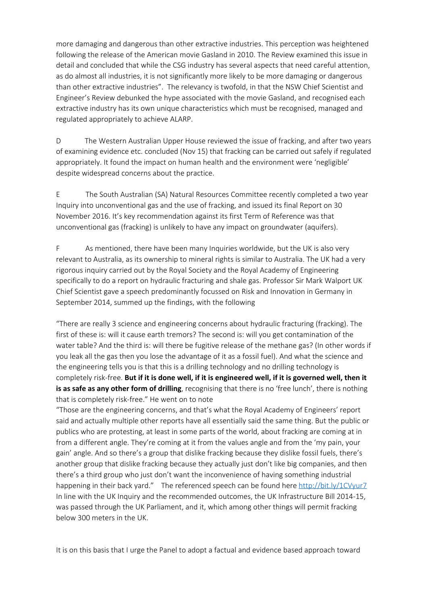more damaging and dangerous than other extractive industries. This perception was heightened following the release of the American movie Gasland in 2010. The Review examined this issue in detail and concluded that while the CSG industry has several aspects that need careful attention, as do almost all industries, it is not significantly more likely to be more damaging or dangerous than other extractive industries". The relevancy is twofold, in that the NSW Chief Scientist and Engineer's Review debunked the hype associated with the movie Gasland, and recognised each extractive industry has its own unique characteristics which must be recognised, managed and regulated appropriately to achieve ALARP.

D The Western Australian Upper House reviewed the issue of fracking, and after two years of examining evidence etc. concluded (Nov 15) that fracking can be carried out safely if regulated appropriately. It found the impact on human health and the environment were 'negligible' despite widespread concerns about the practice.

E The South Australian (SA) Natural Resources Committee recently completed a two year Inquiry into unconventional gas and the use of fracking, and issued its final Report on 30 November 2016. It's key recommendation against its first Term of Reference was that unconventional gas (fracking) is unlikely to have any impact on groundwater (aquifers).

F As mentioned, there have been many Inquiries worldwide, but the UK is also very relevant to Australia, as its ownership to mineral rights is similar to Australia. The UK had a very rigorous inquiry carried out by the Royal Society and the Royal Academy of Engineering specifically to do a report on hydraulic fracturing and shale gas. Professor Sir Mark Walport UK Chief Scientist gave a speech predominantly focussed on Risk and Innovation in Germany in September 2014, summed up the findings, with the following

"There are really 3 science and engineering concerns about hydraulic fracturing (fracking). The first of these is: will it cause earth tremors? The second is: will you get contamination of the water table? And the third is: will there be fugitive release of the methane gas? (In other words if you leak all the gas then you lose the advantage of it as a fossil fuel). And what the science and the engineering tells you is that this is a drilling technology and no drilling technology is completely risk-free. **But if it is done well, if it is engineered well, if it is governed well, then it is as safe as any other form of drilling**, recognising that there is no 'free lunch', there is nothing that is completely risk-free." He went on to note

"Those are the engineering concerns, and that's what the Royal Academy of Engineers' report said and actually multiple other reports have all essentially said the same thing. But the public or publics who are protesting, at least in some parts of the world, about fracking are coming at in from a different angle. They're coming at it from the values angle and from the 'my pain, your gain' angle. And so there's a group that dislike fracking because they dislike fossil fuels, there's another group that dislike fracking because they actually just don't like big companies, and then there's a third group who just don't want the inconvenience of having something industrial happening in their back yard." The referenced speech can be found here http://bit.ly/1CVyur7 In line with the UK Inquiry and the recommended outcomes, the UK Infrastructure Bill 2014-15, was passed through the UK Parliament, and it, which among other things will permit fracking below 300 meters in the UK.

It is on this basis that I urge the Panel to adopt a factual and evidence based approach toward